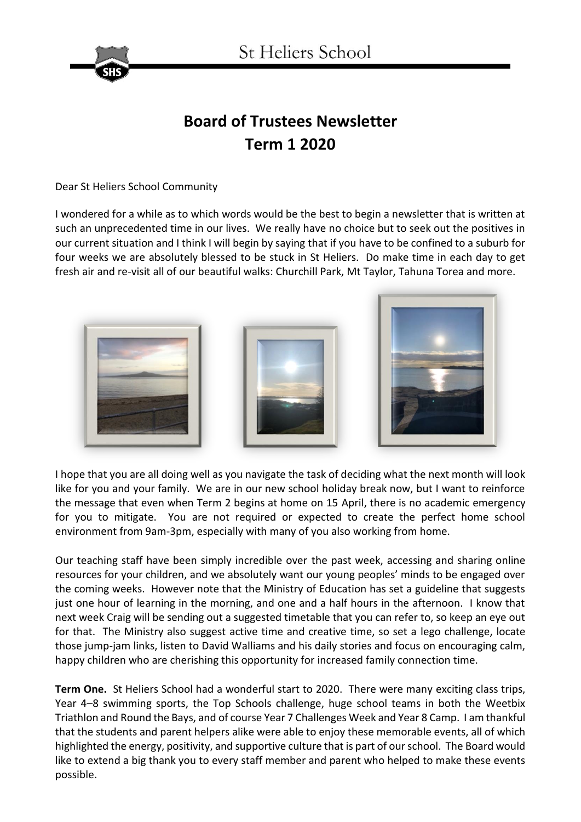

## **Board of Trustees Newsletter Term 1 2020**

Dear St Heliers School Community

I wondered for a while as to which words would be the best to begin a newsletter that is written at such an unprecedented time in our lives. We really have no choice but to seek out the positives in our current situation and I think I will begin by saying that if you have to be confined to a suburb for four weeks we are absolutely blessed to be stuck in St Heliers. Do make time in each day to get fresh air and re-visit all of our beautiful walks: Churchill Park, Mt Taylor, Tahuna Torea and more.



I hope that you are all doing well as you navigate the task of deciding what the next month will look like for you and your family. We are in our new school holiday break now, but I want to reinforce the message that even when Term 2 begins at home on 15 April, there is no academic emergency for you to mitigate. You are not required or expected to create the perfect home school environment from 9am-3pm, especially with many of you also working from home.

Our teaching staff have been simply incredible over the past week, accessing and sharing online resources for your children, and we absolutely want our young peoples' minds to be engaged over the coming weeks. However note that the Ministry of Education has set a guideline that suggests just one hour of learning in the morning, and one and a half hours in the afternoon. I know that next week Craig will be sending out a suggested timetable that you can refer to, so keep an eye out for that. The Ministry also suggest active time and creative time, so set a lego challenge, locate those jump-jam links, listen to David Walliams and his daily stories and focus on encouraging calm, happy children who are cherishing this opportunity for increased family connection time.

**Term One.** St Heliers School had a wonderful start to 2020. There were many exciting class trips, Year 4–8 swimming sports, the Top Schools challenge, huge school teams in both the Weetbix Triathlon and Round the Bays, and of course Year 7 Challenges Week and Year 8 Camp. I am thankful that the students and parent helpers alike were able to enjoy these memorable events, all of which highlighted the energy, positivity, and supportive culture that is part of our school. The Board would like to extend a big thank you to every staff member and parent who helped to make these events possible.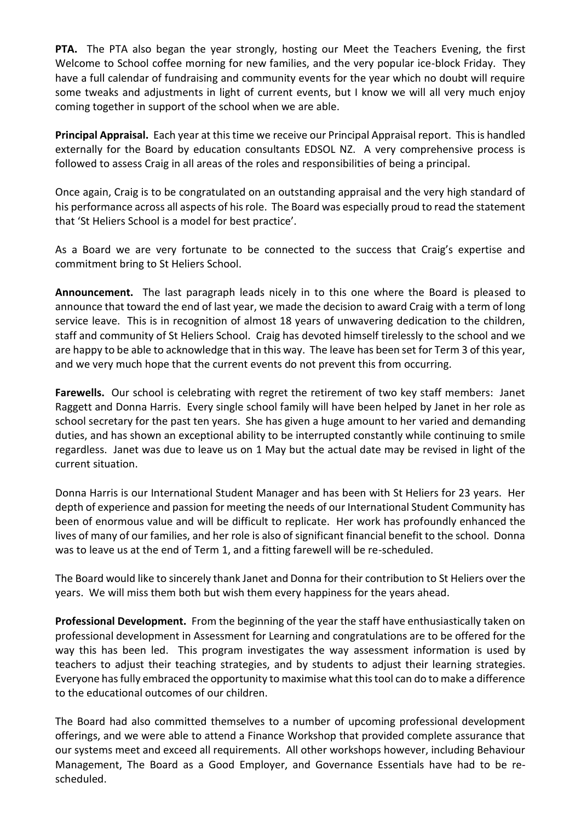**PTA.** The PTA also began the year strongly, hosting our Meet the Teachers Evening, the first Welcome to School coffee morning for new families, and the very popular ice-block Friday. They have a full calendar of fundraising and community events for the year which no doubt will require some tweaks and adjustments in light of current events, but I know we will all very much enjoy coming together in support of the school when we are able.

**Principal Appraisal.** Each year at this time we receive our Principal Appraisal report. This is handled externally for the Board by education consultants EDSOL NZ. A very comprehensive process is followed to assess Craig in all areas of the roles and responsibilities of being a principal.

Once again, Craig is to be congratulated on an outstanding appraisal and the very high standard of his performance across all aspects of his role. The Board was especially proud to read the statement that 'St Heliers School is a model for best practice'.

As a Board we are very fortunate to be connected to the success that Craig's expertise and commitment bring to St Heliers School.

**Announcement.** The last paragraph leads nicely in to this one where the Board is pleased to announce that toward the end of last year, we made the decision to award Craig with a term of long service leave. This is in recognition of almost 18 years of unwavering dedication to the children, staff and community of St Heliers School. Craig has devoted himself tirelessly to the school and we are happy to be able to acknowledge that in this way. The leave has been set for Term 3 of this year, and we very much hope that the current events do not prevent this from occurring.

**Farewells.** Our school is celebrating with regret the retirement of two key staff members: Janet Raggett and Donna Harris. Every single school family will have been helped by Janet in her role as school secretary for the past ten years. She has given a huge amount to her varied and demanding duties, and has shown an exceptional ability to be interrupted constantly while continuing to smile regardless. Janet was due to leave us on 1 May but the actual date may be revised in light of the current situation.

Donna Harris is our International Student Manager and has been with St Heliers for 23 years. Her depth of experience and passion for meeting the needs of our International Student Community has been of enormous value and will be difficult to replicate. Her work has profoundly enhanced the lives of many of our families, and her role is also of significant financial benefit to the school. Donna was to leave us at the end of Term 1, and a fitting farewell will be re-scheduled.

The Board would like to sincerely thank Janet and Donna for their contribution to St Heliers over the years. We will miss them both but wish them every happiness for the years ahead.

**Professional Development.** From the beginning of the year the staff have enthusiastically taken on professional development in Assessment for Learning and congratulations are to be offered for the way this has been led. This program investigates the way assessment information is used by teachers to adjust their teaching strategies, and by students to adjust their learning strategies. Everyone has fully embraced the opportunity to maximise what this tool can do to make a difference to the educational outcomes of our children.

The Board had also committed themselves to a number of upcoming professional development offerings, and we were able to attend a Finance Workshop that provided complete assurance that our systems meet and exceed all requirements. All other workshops however, including Behaviour Management, The Board as a Good Employer, and Governance Essentials have had to be rescheduled.